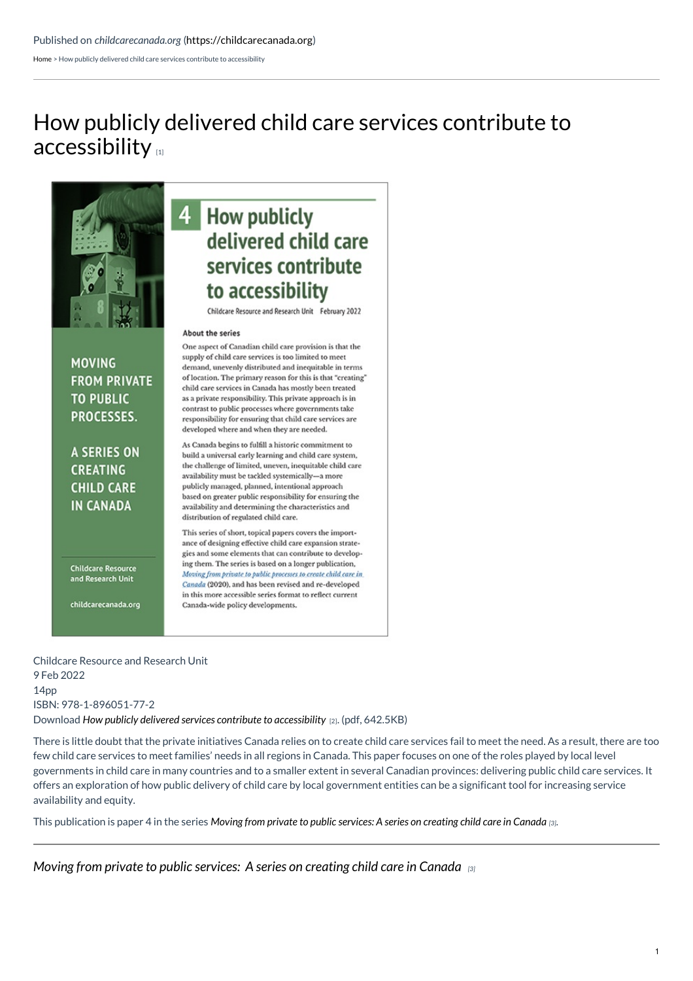[Home](https://childcarecanada.org/) > How publicly delivered child care services contribute to accessibility

# How publicly delivered child care services contribute to [accessibility](https://childcarecanada.org/publications/other-publications/22/02/how-publicly-delivered-child-care-services-contribute)  $\mathbf{u}$



**MOVING** 

**FROM PRIVATE** 

**TO PUBLIC** 

PROCESSES.

**A SERIES ON** 

**CREATING** 

**CHILD CARE** 

**IN CANADA** 

**Childcare Resource** 

and Research Unit

childcarecanada.org

## 4 How publicly delivered child care services contribute to accessibility

Childcare Resource and Research Unit February 2022

#### About the series

One aspect of Canadian child care provision is that the supply of child care services is too limited to meet demand, unevenly distributed and inequitable in terms of location. The primary reason for this is that "creating" child care services in Canada has mostly been treated as a private responsibility. This private approach is in contrast to public processes where governments take responsibility for ensuring that child care services are developed where and when they are needed.

As Canada begins to fulfill a historic commitment to build a universal early learning and child care system, the challenge of limited, uneven, inequitable child care availability must be tackled systemically-a more publicly managed, planned, intentional approach based on greater public responsibility for ensuring the availability and determining the characteristics and distribution of regulated child care.

This series of short, topical papers covers the importance of designing effective child care expansion strategies and some elements that can contribute to developing them. The series is based on a longer publication, Moving from private to public processes to create child care in Canada (2020), and has been revised and re-developed in this more accessible series format to reflect current Canada-wide policy developments.

Childcare Resource and Research Unit 9 Feb 2022 14pp ISBN: 978-1-896051-77-2 Download *How publicly delivered services contribute to [accessibility](https://childcarecanada.org/sites/default/files/SERIES-Paper-4-How-publicly-delivered-contribute-to-accessibility.pdf)* [2]. (pdf, 642.5KB)

There is little doubt that the private initiatives Canada relies on to create child care services fail to meet the need. As a result, there are too few child care services to meet families' needs in all regions in Canada. This paper focuses on one of the roles played by local level governments in child care in many countries and to a smaller extent in several Canadian provinces: delivering public child care services. It offers an exploration of how public delivery of child care by local government entities can be a significant tool for increasing service availability and equity.

This publication is paper 4 in the series Moving from private to public [services:](https://childcarecanada.org/publications/other-publications/22/01/moving-private-public-processes-series-creating-child-care) A series on creating child care in Canada [3].

*Moving from private to public [services:](https://childcarecanada.org/publications/other-publications/22/01/moving-private-public-processes-series-creating-child-care) A series on creating child care in Canada [3]*